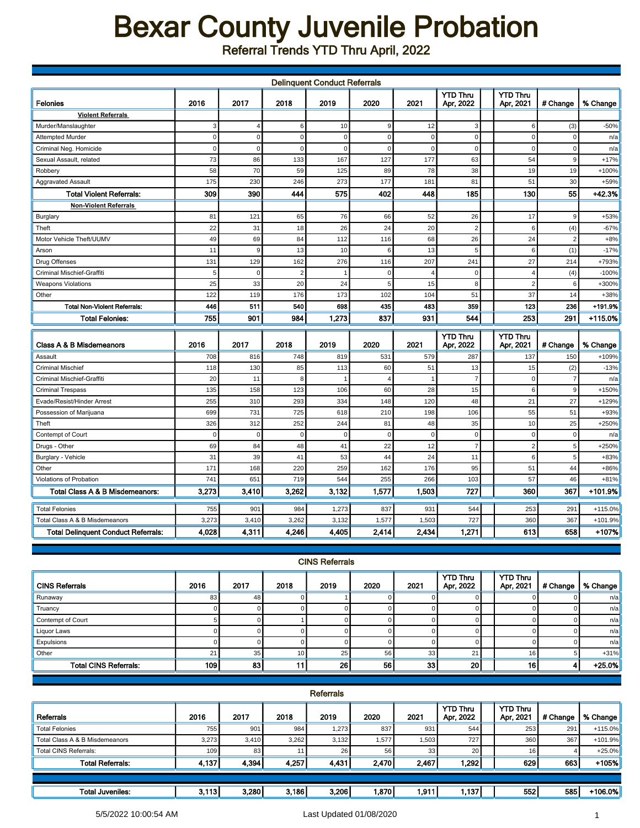## Bexar County Juvenile Probation

Referral Trends YTD Thru April, 2022

| <b>Delinquent Conduct Referrals</b>        |             |                |                |             |                |             |                              |  |                              |                |           |
|--------------------------------------------|-------------|----------------|----------------|-------------|----------------|-------------|------------------------------|--|------------------------------|----------------|-----------|
| <b>Felonies</b>                            | 2016        | 2017           | 2018           | 2019        | 2020           | 2021        | <b>YTD Thru</b><br>Apr, 2022 |  | <b>YTD Thru</b><br>Apr, 2021 | # Change       | % Change  |
| <b>Violent Referrals</b>                   |             |                |                |             |                |             |                              |  |                              |                |           |
| Murder/Manslaughter                        | 3           | $\overline{4}$ | 6              | 10          | 9              | 12          | 3                            |  | 6                            | (3)            | $-50%$    |
| <b>Attempted Murder</b>                    | $\mathbf 0$ | $\mathbf 0$    | $\mathsf 0$    | $\mathbf 0$ | $\mathbf 0$    | $\mathbf 0$ | $\mathbf 0$                  |  | $\mathbf 0$                  | 0              | n/a       |
| Criminal Neg. Homicide                     | $\mathbf 0$ | $\Omega$       | $\mathbf 0$    | $\Omega$    | $\Omega$       | $\Omega$    | $\mathbf 0$                  |  | $\Omega$                     | $\Omega$       | n/a       |
| Sexual Assault, related                    | 73          | 86             | 133            | 167         | 127            | 177         | 63                           |  | 54                           | 9              | $+17%$    |
| Robbery                                    | 58          | 70             | 59             | 125         | 89             | 78          | 38                           |  | 19                           | 19             | +100%     |
| <b>Aggravated Assault</b>                  | 175         | 230            | 246            | 273         | 177            | 181         | 81                           |  | 51                           | 30             | +59%      |
| <b>Total Violent Referrals:</b>            | 309         | 390            | 444            | 575         | 402            | 448         | 185                          |  | 130                          | 55             | $+42.3%$  |
| <b>Non-Violent Referrals</b>               |             |                |                |             |                |             |                              |  |                              |                |           |
| <b>Burglary</b>                            | 81          | 121            | 65             | 76          | 66             | 52          | 26                           |  | 17                           | 9              | +53%      |
| Theft                                      | 22          | 31             | 18             | 26          | 24             | 20          | $\overline{2}$               |  | 6                            | (4)            | $-67%$    |
| Motor Vehicle Theft/UUMV                   | 49          | 69             | 84             | 112         | 116            | 68          | 26                           |  | 24                           | $\overline{2}$ | $+8%$     |
| Arson                                      | 11          | 9              | 13             | 10          | 6              | 13          | 5                            |  | 6                            | (1)            | $-17%$    |
| Drug Offenses                              | 131         | 129            | 162            | 276         | 116            | 207         | 241                          |  | 27                           | 214            | +793%     |
| Criminal Mischief-Graffiti                 | 5           | $\mathbf 0$    | $\overline{2}$ |             | $\mathbf 0$    |             | $\mathbf 0$                  |  | $\overline{4}$               | (4)            | $-100%$   |
| <b>Weapons Violations</b>                  | 25          | 33             | 20             | 24          | 5              | 15          | 8                            |  | $\overline{2}$               | 6              | +300%     |
| Other                                      | 122         | 119            | 176            | 173         | 102            | 104         | 51                           |  | 37                           | 14             | +38%      |
| <b>Total Non-Violent Referrals:</b>        | 446         | 511            | 540            | 698         | 435            | 483         | 359                          |  | 123                          | 236            | +191.9%   |
| <b>Total Felonies:</b>                     | 755         | 901            | 984            | 1.273       | 837            | 931         | 544                          |  | 253                          | 291            | $+115.0%$ |
|                                            |             |                |                |             |                |             | <b>YTD Thru</b>              |  | YTD Thru                     |                |           |
| Class A & B Misdemeanors                   | 2016        | 2017           | 2018           | 2019        | 2020           | 2021        | Apr, 2022                    |  | Apr, 2021                    | # Change       | % Change  |
| Assault                                    | 708         | 816            | 748            | 819         | 531            | 579         | 287                          |  | 137                          | 150            | +109%     |
| <b>Criminal Mischief</b>                   | 118         | 130            | 85             | 113         | 60             | 51          | 13                           |  | 15                           | (2)            | $-13%$    |
| Criminal Mischief-Graffiti                 | 20          | 11             | 8              |             | $\overline{4}$ |             | $\overline{7}$               |  | $\mathbf 0$                  | $\overline{7}$ | n/a       |
| <b>Criminal Trespass</b>                   | 135         | 158            | 123            | 106         | 60             | 28          | 15                           |  | 6                            | 9              | +150%     |
| Evade/Resist/Hinder Arrest                 | 255         | 310            | 293            | 334         | 148            | 120         | 48                           |  | 21                           | 27             | +129%     |
| Possession of Marijuana                    | 699         | 731            | 725            | 618         | 210            | 198         | 106                          |  | 55                           | 51             | +93%      |
| Theft                                      | 326         | 312            | 252            | 244         | 81             | 48          | 35                           |  | 10                           | 25             | +250%     |
| Contempt of Court                          | $\mathbf 0$ | $\mathbf 0$    | $\mathbf 0$    | $\Omega$    | $\mathbf 0$    | $\mathbf 0$ | $\mathbf 0$                  |  | $\mathbf 0$                  | $\mathbf 0$    | n/a       |
| Drugs - Other                              | 69          | 84             | 48             | 41          | 22             | 12          | $\overline{7}$               |  | $\overline{2}$               | 5              | +250%     |
| Burglary - Vehicle                         | 31          | 39             | 41             | 53          | 44             | 24          | 11                           |  | 6                            | 5              | $+83%$    |
| Other                                      | 171         | 168            | 220            | 259         | 162            | 176         | 95                           |  | 51                           | 44             | +86%      |
| Violations of Probation                    | 741         | 651            | 719            | 544         | 255            | 266         | 103                          |  | 57                           | 46             | $+81%$    |
| <b>Total Class A &amp; B Misdemeanors:</b> | 3,273       | 3,410          | 3,262          | 3,132       | 1,577          | 1,503       | 727                          |  | 360                          | 367            | +101.9%   |
| <b>Total Felonies</b>                      | 755         | 901            | 984            | 1,273       | 837            | 931         | 544                          |  | 253                          | 291            | +115.0%   |
| Total Class A & B Misdemeanors             | 3,273       | 3,410          | 3,262          | 3,132       | 1,577          | 1,503       | 727                          |  | 360                          | 367            | +101.9%   |
| <b>Total Delinquent Conduct Referrals:</b> | 4,028       | 4,311          | 4,246          | 4,405       | 2,414          | 2,434       | 1,271                        |  | 613                          | 658            | +107%     |

| <b>CINS Referrals</b>        |      |      |                 |      |      |      |                              |  |                              |          |          |
|------------------------------|------|------|-----------------|------|------|------|------------------------------|--|------------------------------|----------|----------|
| <b>CINS Referrals</b>        | 2016 | 2017 | 2018            | 2019 | 2020 | 2021 | <b>YTD Thru</b><br>Apr, 2022 |  | <b>YTD Thru</b><br>Apr, 2021 | # Change | % Change |
| Runaway                      | 83   | 48   |                 |      |      |      |                              |  |                              |          | n/a      |
| Truancy                      |      |      |                 |      |      |      |                              |  |                              |          | n/a      |
| Contempt of Court            |      |      |                 |      |      |      | $\Omega$                     |  |                              |          | n/a      |
| Liquor Laws                  |      |      |                 |      |      |      |                              |  |                              |          | n/a      |
| Expulsions                   |      |      |                 |      |      |      | $\Omega$                     |  |                              |          | n/a      |
| Other                        | 21   | 35   | 10 <sub>l</sub> | 25   | 56   | 33   | 21                           |  | 16                           |          | $+31%$   |
| <b>Total CINS Referrals:</b> | 109  | 83   | 11              | 26   | 56   | 33   | 20 <sub>1</sub>              |  | 16 <sup>1</sup>              |          | $+25.0%$ |

| Referrals                      |       |       |       |       |       |       |                              |  |                              |          |           |
|--------------------------------|-------|-------|-------|-------|-------|-------|------------------------------|--|------------------------------|----------|-----------|
| Referrals                      | 2016  | 2017  | 2018  | 2019  | 2020  | 2021  | <b>YTD Thru</b><br>Apr, 2022 |  | <b>YTD Thru</b><br>Apr, 2021 | # Change | % Change  |
| <b>Total Felonies</b>          | 755   | 901   | 984   | 1,273 | 837   | 931   | 544                          |  | 253                          | 291      | $+115.0%$ |
| Total Class A & B Misdemeanors | 3,273 | 3.410 | 3,262 | 3,132 | 1,577 | 1,503 | 727                          |  | 360                          | 367      | +101.9%   |
| <b>Total CINS Referrals:</b>   | 109   | 83    |       | 26    | 56    | 33    | 20                           |  | 16 <sup>1</sup>              |          | $+25.0%$  |
| <b>Total Referrals:</b>        | 4,137 | 4.394 | 4.257 | 4,431 | 2,470 | 2,467 | 1.2921                       |  | 629                          | 663      | +105%     |
|                                |       |       |       |       |       |       |                              |  |                              |          |           |
| Total Juveniles:               | 3.113 | 3.280 | 3,186 | 3,206 | 1.870 | 1,911 | 1.137                        |  | 552                          | 585      | +106.0%   |